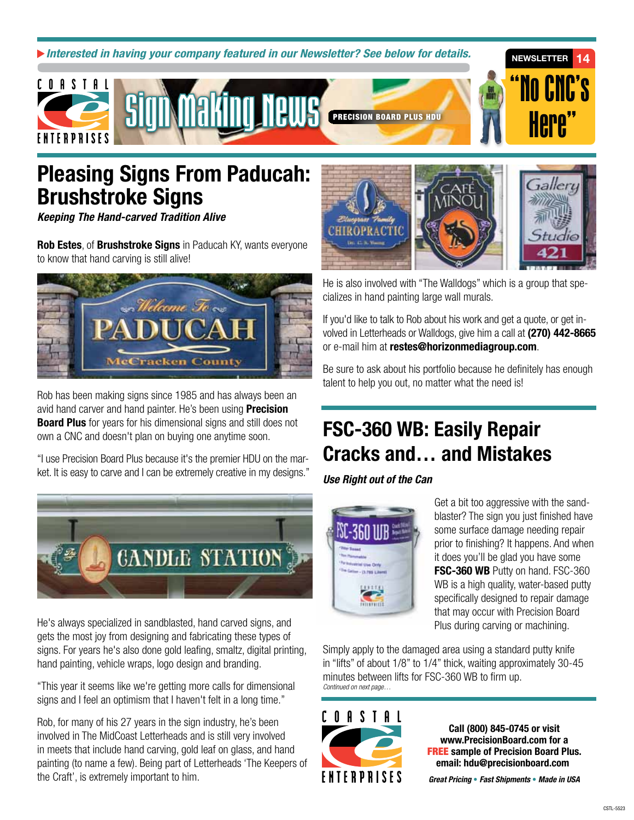*Interested in having your company featured in our Newsletter? See below for details.*



## Pleasing Signs From Paducah: Brushstroke Signs

*Keeping The Hand-carved Tradition Alive*

Rob Estes, of Brushstroke Signs in Paducah KY, wants everyone to know that hand carving is still alive!



Rob has been making signs since 1985 and has always been an avid hand carver and hand painter. He's been using **Precision Board Plus** for years for his dimensional signs and still does not own a CNC and doesn't plan on buying one anytime soon.

"I use Precision Board Plus because it's the premier HDU on the market. It is easy to carve and I can be extremely creative in my designs."



He's always specialized in sandblasted, hand carved signs, and gets the most joy from designing and fabricating these types of signs. For years he's also done gold leafing, smaltz, digital printing, hand painting, vehicle wraps, logo design and branding.

"This year it seems like we're getting more calls for dimensional signs and I feel an optimism that I haven't felt in a long time."

Rob, for many of his 27 years in the sign industry, he's been involved in The MidCoast Letterheads and is still very involved in meets that include hand carving, gold leaf on glass, and hand painting (to name a few). Being part of Letterheads 'The Keepers of the Craft', is extremely important to him.



He is also involved with "The Walldogs" which is a group that specializes in hand painting large wall murals.

If you'd like to talk to Rob about his work and get a quote, or get involved in Letterheads or Walldogs, give him a call at (270) 442-8665 or e-mail him at restes@horizonmediagroup.com.

Be sure to ask about his portfolio because he definitely has enough talent to help you out, no matter what the need is!

# FSC-360 WB: Easily Repair Cracks and… and Mistakes

*Use Right out of the Can*



Get a bit too aggressive with the sandblaster? The sign you just finished have some surface damage needing repair prior to finishing? It happens. And when it does you'll be glad you have some **FSC-360 WB Putty on hand. FSC-360** WB is a high quality, water-based putty specifically designed to repair damage that may occur with Precision Board Plus during carving or machining.

Simply apply to the damaged area using a standard putty knife in "lifts" of about 1/8" to 1/4" thick, waiting approximately 30-45 minutes between lifts for FSC-360 WB to firm up. *Continued on next page…*



Call (800) 845-0745 or visit www.PrecisionBoard.com for a **FREE** sample of Precision Board Plus. email: hdu@precisionboard.com

*Great Pricing* • *Fast Shipments* • *Made in USA*